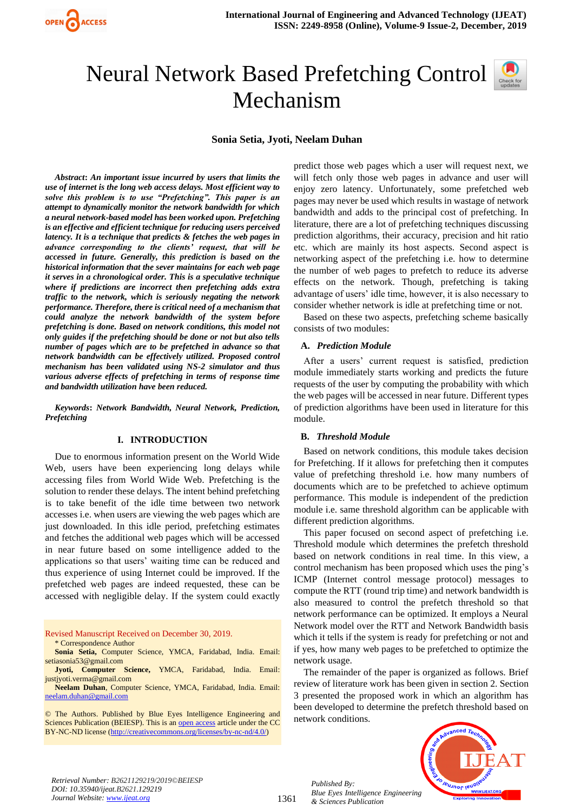

# Neural Network Based Prefetching Control Mechanism

**Sonia Setia, Jyoti, Neelam Duhan**

*Abstract***:** *An important issue incurred by users that limits the use of internet is the long web access delays. Most efficient way to solve this problem is to use "Prefetching". This paper is an attempt to dynamically monitor the network bandwidth for which a neural network-based model has been worked upon. Prefetching is an effective and efficient technique for reducing users perceived latency. It is a technique that predicts & fetches the web pages in advance corresponding to the clients' request, that will be accessed in future. Generally, this prediction is based on the historical information that the sever maintains for each web page it serves in a chronological order. This is a speculative technique where if predictions are incorrect then prefetching adds extra traffic to the network, which is seriously negating the network performance. Therefore, there is critical need of a mechanism that could analyze the network bandwidth of the system before prefetching is done. Based on network conditions, this model not only guides if the prefetching should be done or not but also tells number of pages which are to be prefetched in advance so that network bandwidth can be effectively utilized. Proposed control mechanism has been validated using NS-2 simulator and thus various adverse effects of prefetching in terms of response time and bandwidth utilization have been reduced.*

*Keywords***:** *Network Bandwidth, Neural Network, Prediction, Prefetching*

#### **I. INTRODUCTION**

Due to enormous information present on the World Wide Web, users have been experiencing long delays while accessing files from World Wide Web. Prefetching is the solution to render these delays. The intent behind prefetching is to take benefit of the idle time between two network accesses i.e. when users are viewing the web pages which are just downloaded. In this idle period, prefetching estimates and fetches the additional web pages which will be accessed in near future based on some intelligence added to the applications so that users' waiting time can be reduced and thus experience of using Internet could be improved. If the prefetched web pages are indeed requested, these can be accessed with negligible delay. If the system could exactly

Revised Manuscript Received on December 30, 2019.

\* Correspondence Author

**Sonia Setia,** Computer Science, YMCA, Faridabad, India. Email: setiasonia53@gmail.com

**Jyoti, Computer Science,** YMCA, Faridabad, India. Email: justjyoti.verma@gmail.com

**Neelam Duhan**, Computer Science, YMCA, Faridabad, India. Email: [neelam.duhan@gmail.com](mailto:neelam.duhan@gmail.com)

© The Authors. Published by Blue Eyes Intelligence Engineering and Sciences Publication (BEIESP). This is a[n open access](https://www.openaccess.nl/en/open-publications) article under the CC BY-NC-ND license [\(http://creativecommons.org/licenses/by-nc-nd/4.0/\)](http://creativecommons.org/licenses/by-nc-nd/4.0/)

predict those web pages which a user will request next, we will fetch only those web pages in advance and user will enjoy zero latency. Unfortunately, some prefetched web pages may never be used which results in wastage of network bandwidth and adds to the principal cost of prefetching. In literature, there are a lot of prefetching techniques discussing prediction algorithms, their accuracy, precision and hit ratio etc. which are mainly its host aspects. Second aspect is networking aspect of the prefetching i.e. how to determine the number of web pages to prefetch to reduce its adverse effects on the network. Though, prefetching is taking advantage of users' idle time, however, it is also necessary to consider whether network is idle at prefetching time or not.

Based on these two aspects, prefetching scheme basically consists of two modules:

#### **A.** *Prediction Module*

After a users' current request is satisfied, prediction module immediately starts working and predicts the future requests of the user by computing the probability with which the web pages will be accessed in near future. Different types of prediction algorithms have been used in literature for this module.

#### **B.** *Threshold Module*

Based on network conditions, this module takes decision for Prefetching. If it allows for prefetching then it computes value of prefetching threshold i.e. how many numbers of documents which are to be prefetched to achieve optimum performance. This module is independent of the prediction module i.e. same threshold algorithm can be applicable with different prediction algorithms.

This paper focused on second aspect of prefetching i.e. Threshold module which determines the prefetch threshold based on network conditions in real time. In this view, a control mechanism has been proposed which uses the ping's ICMP (Internet control message protocol) messages to compute the RTT (round trip time) and network bandwidth is also measured to control the prefetch threshold so that network performance can be optimized. It employs a Neural Network model over the RTT and Network Bandwidth basis which it tells if the system is ready for prefetching or not and if yes, how many web pages to be prefetched to optimize the network usage.

The remainder of the paper is organized as follows. Brief review of literature work has been given in section 2. Section 3 presented the proposed work in which an algorithm has been developed to determine the prefetch threshold based on network conditions.



*Retrieval Number: B2621129219/2019©BEIESP DOI: 10.35940/ijeat.B2621.129219 Journal Website[: www.ijeat.org](http://www.ijeat.org/)*

1361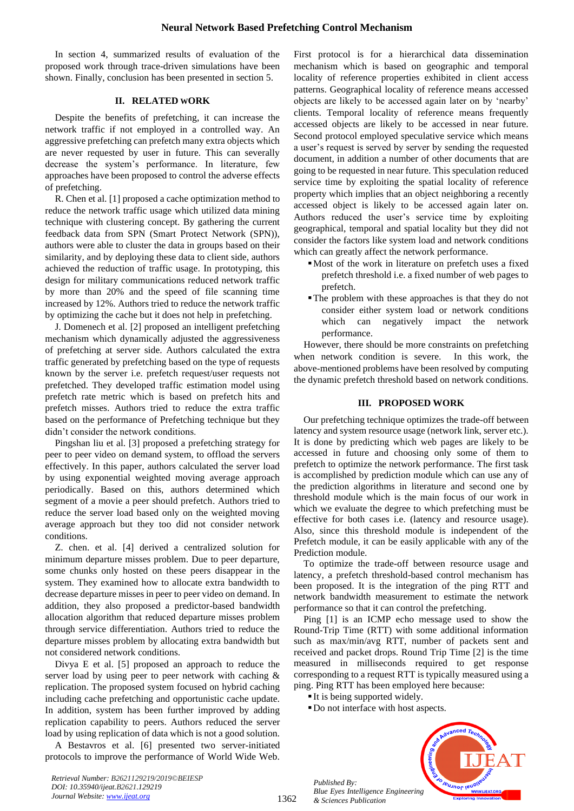In section 4, summarized results of evaluation of the proposed work through trace-driven simulations have been shown. Finally, conclusion has been presented in section 5.

# **II. RELATED WORK**

Despite the benefits of prefetching, it can increase the network traffic if not employed in a controlled way. An aggressive prefetching can prefetch many extra objects which are never requested by user in future. This can severally decrease the system's performance. In literature, few approaches have been proposed to control the adverse effects of prefetching.

R. Chen et al. [1] proposed a cache optimization method to reduce the network traffic usage which utilized data mining technique with clustering concept. By gathering the current feedback data from SPN (Smart Protect Network (SPN)), authors were able to cluster the data in groups based on their similarity, and by deploying these data to client side, authors achieved the reduction of traffic usage. In prototyping, this design for military communications reduced network traffic by more than 20% and the speed of file scanning time increased by 12%. Authors tried to reduce the network traffic by optimizing the cache but it does not help in prefetching.

J. Domenech et al. [2] proposed an intelligent prefetching mechanism which dynamically adjusted the aggressiveness of prefetching at server side. Authors calculated the extra traffic generated by prefetching based on the type of requests known by the server i.e. prefetch request/user requests not prefetched. They developed traffic estimation model using prefetch rate metric which is based on prefetch hits and prefetch misses. Authors tried to reduce the extra traffic based on the performance of Prefetching technique but they didn't consider the network conditions.

Pingshan liu et al. [3] proposed a prefetching strategy for peer to peer video on demand system, to offload the servers effectively. In this paper, authors calculated the server load by using exponential weighted moving average approach periodically. Based on this, authors determined which segment of a movie a peer should prefetch. Authors tried to reduce the server load based only on the weighted moving average approach but they too did not consider network conditions.

Z. chen. et al. [4] derived a centralized solution for minimum departure misses problem. Due to peer departure, some chunks only hosted on these peers disappear in the system. They examined how to allocate extra bandwidth to decrease departure misses in peer to peer video on demand. In addition, they also proposed a predictor-based bandwidth allocation algorithm that reduced departure misses problem through service differentiation. Authors tried to reduce the departure misses problem by allocating extra bandwidth but not considered network conditions.

Divya E et al. [5] proposed an approach to reduce the server load by using peer to peer network with caching & replication. The proposed system focused on hybrid caching including cache prefetching and opportunistic cache update. In addition, system has been further improved by adding replication capability to peers. Authors reduced the server load by using replication of data which is not a good solution.

A Bestavros et al. [6] presented two server-initiated protocols to improve the performance of World Wide Web. First protocol is for a hierarchical data dissemination mechanism which is based on geographic and temporal locality of reference properties exhibited in client access patterns. Geographical locality of reference means accessed objects are likely to be accessed again later on by 'nearby' clients. Temporal locality of reference means frequently accessed objects are likely to be accessed in near future. Second protocol employed speculative service which means a user's request is served by server by sending the requested document, in addition a number of other documents that are going to be requested in near future. This speculation reduced service time by exploiting the spatial locality of reference property which implies that an object neighboring a recently accessed object is likely to be accessed again later on. Authors reduced the user's service time by exploiting geographical, temporal and spatial locality but they did not consider the factors like system load and network conditions which can greatly affect the network performance.

- ▪Most of the work in literature on prefetch uses a fixed prefetch threshold i.e. a fixed number of web pages to prefetch.
- ▪The problem with these approaches is that they do not consider either system load or network conditions which can negatively impact the network performance.

However, there should be more constraints on prefetching when network condition is severe. In this work, the above-mentioned problems have been resolved by computing the dynamic prefetch threshold based on network conditions.

#### **III. PROPOSED WORK**

Our prefetching technique optimizes the trade-off between latency and system resource usage (network link, server etc.). It is done by predicting which web pages are likely to be accessed in future and choosing only some of them to prefetch to optimize the network performance. The first task is accomplished by prediction module which can use any of the prediction algorithms in literature and second one by threshold module which is the main focus of our work in which we evaluate the degree to which prefetching must be effective for both cases i.e. (latency and resource usage). Also, since this threshold module is independent of the Prefetch module, it can be easily applicable with any of the Prediction module.

To optimize the trade-off between resource usage and latency, a prefetch threshold-based control mechanism has been proposed. It is the integration of the ping RTT and network bandwidth measurement to estimate the network performance so that it can control the prefetching.

Ping [1] is an ICMP echo message used to show the Round-Trip Time (RTT) with some additional information such as max/min/avg RTT, number of packets sent and received and packet drops. Round Trip Time [2] is the time measured in milliseconds required to get response corresponding to a request RTT is typically measured using a ping. Ping RTT has been employed here because:

■ It is being supported widely.

*Published By:*

*& Sciences Publication* 

■ Do not interface with host aspects.



*Retrieval Number: B2621129219/2019©BEIESP DOI: 10.35940/ijeat.B2621.129219 Journal Website[: www.ijeat.org](http://www.ijeat.org/)*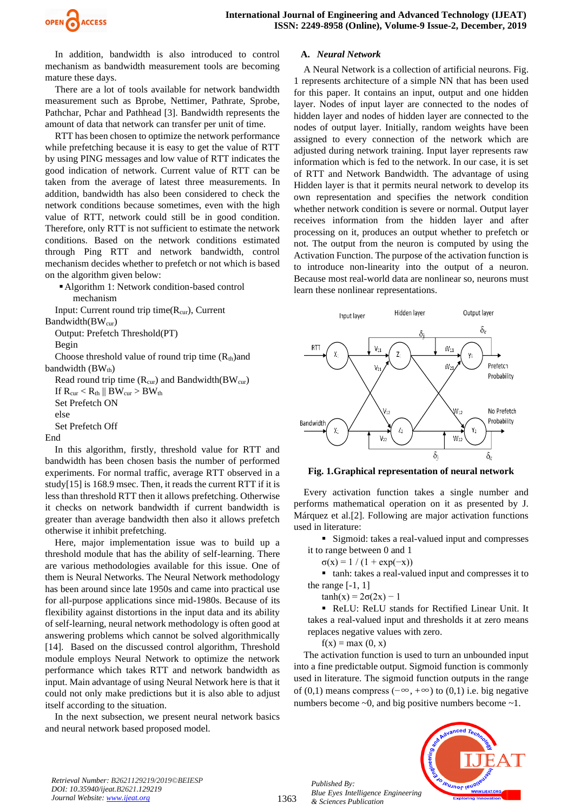

In addition, bandwidth is also introduced to control mechanism as bandwidth measurement tools are becoming mature these days.

There are a lot of tools available for network bandwidth measurement such as Bprobe, Nettimer, Pathrate, Sprobe, Pathchar, Pchar and Pathhead [3]. Bandwidth represents the amount of data that network can transfer per unit of time.

RTT has been chosen to optimize the network performance while prefetching because it is easy to get the value of RTT by using PING messages and low value of RTT indicates the good indication of network. Current value of RTT can be taken from the average of latest three measurements. In addition, bandwidth has also been considered to check the network conditions because sometimes, even with the high value of RTT, network could still be in good condition. Therefore, only RTT is not sufficient to estimate the network conditions. Based on the network conditions estimated through Ping RTT and network bandwidth, control mechanism decides whether to prefetch or not which is based on the algorithm given below:

▪Algorithm 1: Network condition-based control mechanism

Input: Current round trip time $(R_{cur})$ , Current Bandwidth(BW<sub>cur</sub>)

Output: Prefetch Threshold(PT) Begin

Choose threshold value of round trip time  $(R<sub>th</sub>)$ and bandwidth  $(BW<sub>th</sub>)$ 

Read round trip time  $(R_{\text{cur}})$  and Bandwidth $(BW_{\text{cur}})$ If  $R_{\text{cur}} < R_{\text{th}} || BW_{\text{cur}} > BW_{\text{th}}$ Set Prefetch ON else Set Prefetch Off End

In this algorithm, firstly, threshold value for RTT and bandwidth has been chosen basis the number of performed experiments. For normal traffic, average RTT observed in a study[15] is 168.9 msec. Then, it reads the current RTT if it is less than threshold RTT then it allows prefetching. Otherwise it checks on network bandwidth if current bandwidth is greater than average bandwidth then also it allows prefetch otherwise it inhibit prefetching.

Here, major implementation issue was to build up a threshold module that has the ability of self-learning. There are various methodologies available for this issue. One of them is Neural Networks. The Neural Network methodology has been around since late 1950s and came into practical use for all-purpose applications since mid-1980s. Because of its flexibility against distortions in the input data and its ability of self-learning, neural network methodology is often good at answering problems which cannot be solved algorithmically [14]. Based on the discussed control algorithm, Threshold module employs Neural Network to optimize the network performance which takes RTT and network bandwidth as input. Main advantage of using Neural Network here is that it could not only make predictions but it is also able to adjust itself according to the situation.

In the next subsection, we present neural network basics and neural network based proposed model.

## **A.** *Neural Network*

A Neural Network is a collection of artificial neurons. Fig. 1 represents architecture of a simple NN that has been used for this paper. It contains an input, output and one hidden layer. Nodes of input layer are connected to the nodes of hidden layer and nodes of hidden layer are connected to the nodes of output layer. Initially, random weights have been assigned to every connection of the network which are adjusted during network training. Input layer represents raw information which is fed to the network. In our case, it is set of RTT and Network Bandwidth. The advantage of using Hidden layer is that it permits neural network to develop its own representation and specifies the network condition whether network condition is severe or normal. Output layer receives information from the hidden layer and after processing on it, produces an output whether to prefetch or not. The output from the neuron is computed by using the Activation Function. The purpose of the activation function is to introduce non-linearity into the output of a neuron. Because most real-world data are nonlinear so, neurons must learn these nonlinear representations.



#### **Fig. 1.Graphical representation of neural network**

Every activation function takes a single number and performs mathematical operation on it as presented by J. Márquez et al.[2]. Following are major activation functions used in literature:

■ Sigmoid: takes a real-valued input and compresses it to range between 0 and 1

 $σ(x) = 1 / (1 + exp(-x))$ 

■ tanh: takes a real-valued input and compresses it to the range  $[-1, 1]$ 

 $tanh(x) = 2\sigma(2x) - 1$ 

▪ ReLU: ReLU stands for Rectified Linear Unit. It takes a real-valued input and thresholds it at zero means replaces negative values with zero.

 $f(x) = max(0, x)$ 

*Published By:*

*& Sciences Publication* 

The activation function is used to turn an unbounded input into a fine predictable output. Sigmoid function is commonly used in literature. The sigmoid function outputs in the range of (0,1) means compress ( $-\infty$ ,  $+\infty$ ) to (0,1) i.e. big negative numbers become  $\sim 0$ , and big positive numbers become  $\sim 1$ .



*Retrieval Number: B2621129219/2019©BEIESP DOI: 10.35940/ijeat.B2621.129219 Journal Website[: www.ijeat.org](http://www.ijeat.org/)*

1363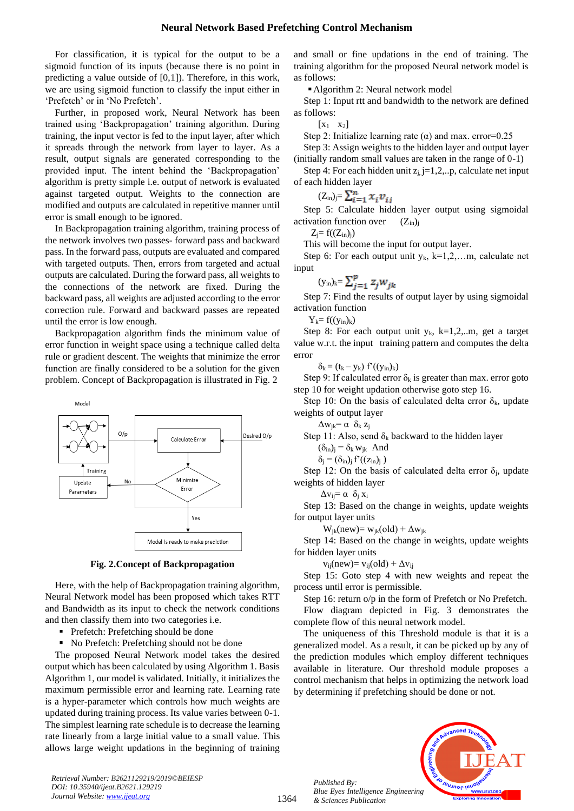For classification, it is typical for the output to be a sigmoid function of its inputs (because there is no point in predicting a value outside of [0,1]). Therefore, in this work, we are using sigmoid function to classify the input either in 'Prefetch' or in 'No Prefetch'.

Further, in proposed work, Neural Network has been trained using 'Backpropagation' training algorithm. During training, the input vector is fed to the input layer, after which it spreads through the network from layer to layer. As a result, output signals are generated corresponding to the provided input. The intent behind the 'Backpropagation' algorithm is pretty simple i.e. output of network is evaluated against targeted output. Weights to the connection are modified and outputs are calculated in repetitive manner until error is small enough to be ignored.

In Backpropagation training algorithm, training process of the network involves two passes- forward pass and backward pass. In the forward pass, outputs are evaluated and compared with targeted outputs. Then, errors from targeted and actual outputs are calculated. During the forward pass, all weights to the connections of the network are fixed. During the backward pass, all weights are adjusted according to the error correction rule. Forward and backward passes are repeated until the error is low enough.

Backpropagation algorithm finds the minimum value of error function in weight space using a technique called delta rule or gradient descent. The weights that minimize the error function are finally considered to be a solution for the given problem. Concept of Backpropagation is illustrated in Fig. 2



**Fig. 2.Concept of Backpropagation**

Here, with the help of Backpropagation training algorithm, Neural Network model has been proposed which takes RTT and Bandwidth as its input to check the network conditions and then classify them into two categories i.e.

- Prefetch: Prefetching should be done
- No Prefetch: Prefetching should not be done

The proposed Neural Network model takes the desired output which has been calculated by using Algorithm 1. Basis Algorithm 1, our model is validated. Initially, it initializes the maximum permissible error and learning rate. Learning rate is a hyper-parameter which controls how much weights are updated during training process. Its value varies between 0-1. The simplest learning rate schedule is to decrease the learning rate linearly from a large initial value to a small value. This allows large weight updations in the beginning of training

*Retrieval Number: B2621129219/2019©BEIESP DOI: 10.35940/ijeat.B2621.129219 Journal Website[: www.ijeat.org](http://www.ijeat.org/)*

and small or fine updations in the end of training. The training algorithm for the proposed Neural network model is as follows:

■ Algorithm 2: Neural network model

Step 1: Input rtt and bandwidth to the network are defined as follows:

 $\begin{bmatrix} x_1 & x_2 \end{bmatrix}$ 

Step 2: Initialize learning rate  $(\alpha)$  and max. error=0.25

Step 3: Assign weights to the hidden layer and output layer (initially random small values are taken in the range of 0-1)

Step 4: For each hidden unit  $z_j$ ,  $j=1,2,..p$ , calculate net input of each hidden layer

$$
(Z_{\rm in})_{\rm j} = \sum_{i=1}^{n} x_i v_{\rm ii}
$$

Step 5: Calculate hidden layer output using sigmoidal activation function over  $(Z_{in})$ 

 $Z_i = f((Z_{in})_j)$ 

This will become the input for output layer.

Step 6: For each output unit  $y_k$ ,  $k=1,2,...m$ , calculate net input

$$
(\mathbf{y}_{\text{in}})_{\text{k}} = \sum_{j=1}^{p} z_j w_{jk}
$$

Step 7: Find the results of output layer by using sigmoidal activation function

 $Y_k = f((y_{in})_k)$ 

Step 8: For each output unit  $y_k$ , k=1,2,..m, get a target value w.r.t. the input training pattern and computes the delta error

 $\delta_{\mathbf{k}} = (\mathbf{t}_{\mathbf{k}} - \mathbf{y}_{\mathbf{k}}) \mathbf{f}'((\mathbf{y}_{\text{in}})_{\mathbf{k}})$ 

Step 9: If calculated error  $\delta_k$  is greater than max. error goto step 10 for weight updation otherwise goto step 16.

Step 10: On the basis of calculated delta error  $\delta_k$ , update

weights of output layer  $\Delta w_{ik} = \alpha \delta_k z_i$ 

Step 11: Also, send  $\delta_k$  backward to the hidden layer

$$
(\delta_{in})_j = \delta_k w_{jk} \text{ And}
$$

$$
\delta_j = (\delta_{in})_j f'((z_{in})_j)
$$

Step 12: On the basis of calculated delta error  $\delta_i$ , update weights of hidden layer

 $\Delta v_{ii} = \alpha \delta_i x_i$ 

Step 13: Based on the change in weights, update weights for output layer units

 $W_{ik}(new) = W_{ik}(old) + \Delta W_{ik}$ 

Step 14: Based on the change in weights, update weights for hidden layer units

 $v_{ii}(new) = v_{ii}(old) + \Delta v_{ii}$ 

Step 15: Goto step 4 with new weights and repeat the process until error is permissible.

Step 16: return o/p in the form of Prefetch or No Prefetch.

Flow diagram depicted in Fig. 3 demonstrates the complete flow of this neural network model.

The uniqueness of this Threshold module is that it is a generalized model. As a result, it can be picked up by any of the prediction modules which employ different techniques available in literature. Our threshold module proposes a control mechanism that helps in optimizing the network load by determining if prefetching should be done or not.

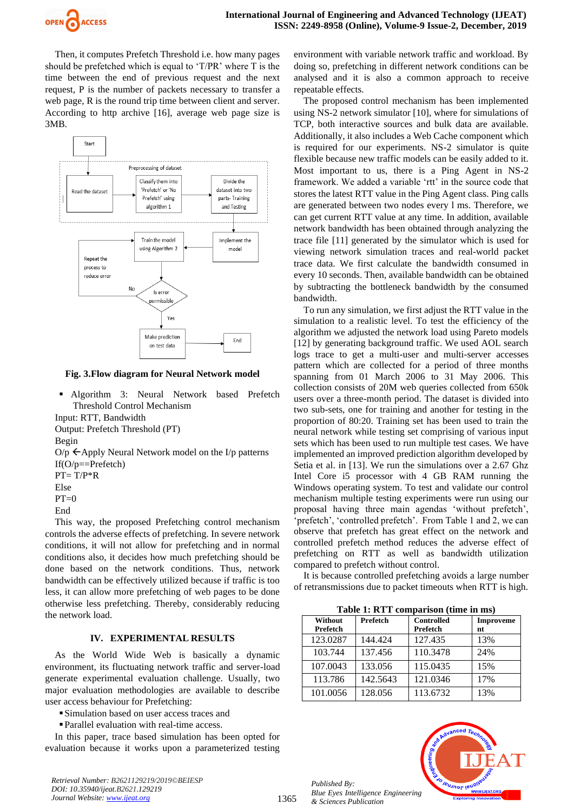

Then, it computes Prefetch Threshold i.e. how many pages should be prefetched which is equal to 'T/PR' where T is the time between the end of previous request and the next request, P is the number of packets necessary to transfer a web page, R is the round trip time between client and server. According to http archive [16], average web page size is 3MB.



**Fig. 3.Flow diagram for Neural Network model**

▪ Algorithm 3: Neural Network based Prefetch Threshold Control Mechanism

Input: RTT, Bandwidth

Output: Prefetch Threshold (PT) Begin

 $O/p \leftarrow$ Apply Neural Network model on the I/p patterns If( $O/p ==$ Prefetch)

 $PT = T/P^*R$ 

Else

 $PT=0$ 

End

This way, the proposed Prefetching control mechanism controls the adverse effects of prefetching. In severe network conditions, it will not allow for prefetching and in normal conditions also, it decides how much prefetching should be done based on the network conditions. Thus, network bandwidth can be effectively utilized because if traffic is too less, it can allow more prefetching of web pages to be done otherwise less prefetching. Thereby, considerably reducing the network load.

# **IV. EXPERIMENTAL RESULTS**

As the World Wide Web is basically a dynamic environment, its fluctuating network traffic and server-load generate experimental evaluation challenge. Usually, two major evaluation methodologies are available to describe user access behaviour for Prefetching:

■ Simulation based on user access traces and

▪Parallel evaluation with real-time access.

In this paper, trace based simulation has been opted for evaluation because it works upon a parameterized testing

*Retrieval Number: B2621129219/2019©BEIESP DOI: 10.35940/ijeat.B2621.129219 Journal Website[: www.ijeat.org](http://www.ijeat.org/)*

environment with variable network traffic and workload. By doing so, prefetching in different network conditions can be analysed and it is also a common approach to receive repeatable effects.

The proposed control mechanism has been implemented using NS-2 network simulator [10], where for simulations of TCP, both interactive sources and bulk data are available. Additionally, it also includes a Web Cache component which is required for our experiments. NS-2 simulator is quite flexible because new traffic models can be easily added to it. Most important to us, there is a Ping Agent in NS-2 framework. We added a variable 'rtt' in the source code that stores the latest RTT value in the Ping Agent class. Ping calls are generated between two nodes every l ms. Therefore, we can get current RTT value at any time. In addition, available network bandwidth has been obtained through analyzing the trace file [11] generated by the simulator which is used for viewing network simulation traces and real-world packet trace data. We first calculate the bandwidth consumed in every 10 seconds. Then, available bandwidth can be obtained by subtracting the bottleneck bandwidth by the consumed bandwidth.

To run any simulation, we first adjust the RTT value in the simulation to a realistic level. To test the efficiency of the algorithm we adjusted the network load using Pareto models [12] by generating background traffic. We used AOL search logs trace to get a multi-user and multi-server accesses pattern which are collected for a period of three months spanning from 01 March 2006 to 31 May 2006. This collection consists of 20M web queries collected from 650k users over a three-month period. The dataset is divided into two sub-sets, one for training and another for testing in the proportion of 80:20. Training set has been used to train the neural network while testing set comprising of various input sets which has been used to run multiple test cases. We have implemented an improved prediction algorithm developed by Setia et al. in [13]. We run the simulations over a 2.67 Ghz Intel Core i5 processor with 4 GB RAM running the Windows operating system. To test and validate our control mechanism multiple testing experiments were run using our proposal having three main agendas 'without prefetch', 'prefetch', 'controlled prefetch'. From Table 1 and 2, we can observe that prefetch has great effect on the network and controlled prefetch method reduces the adverse effect of prefetching on RTT as well as bandwidth utilization compared to prefetch without control.

It is because controlled prefetching avoids a large number of retransmissions due to packet timeouts when RTT is high.

**Table 1: RTT comparison (time in ms)**

| Tuble 1: IVI I comparison (time in mo) |          |                               |                        |  |
|----------------------------------------|----------|-------------------------------|------------------------|--|
| Without<br><b>Prefetch</b>             | Prefetch | <b>Controlled</b><br>Prefetch | <b>Improveme</b><br>nt |  |
| 123.0287                               | 144.424  | 127.435                       | 13%                    |  |
| 103.744                                | 137.456  | 110.3478                      | 24%                    |  |
| 107.0043                               | 133.056  | 115.0435                      | 15%                    |  |
| 113.786                                | 142.5643 | 121.0346                      | 17%                    |  |
| 101.0056                               | 128.056  | 113.6732                      | 13%                    |  |